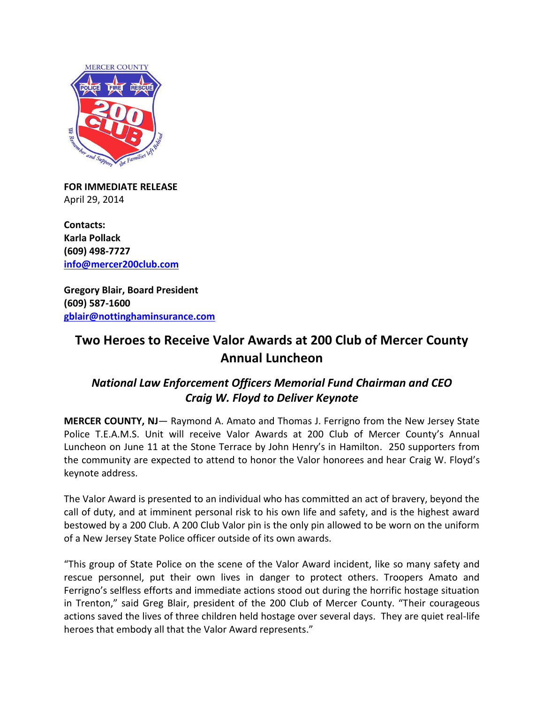

**FOR IMMEDIATE RELEASE** April 29, 2014

**Contacts: Karla Pollack (609) 498-7727 [info@mercer200club.com](mailto:info@mercer200club.com)**

**Gregory Blair, Board President (609) 587-1600 [gblair@nottinghaminsurance.com](mailto:gblair@nottinghaminsurance.com)**

## **Two Heroes to Receive Valor Awards at 200 Club of Mercer County Annual Luncheon**

## *National Law Enforcement Officers Memorial Fund Chairman and CEO Craig W. Floyd to Deliver Keynote*

**MERCER COUNTY, NJ**— Raymond A. Amato and Thomas J. Ferrigno from the New Jersey State Police T.E.A.M.S. Unit will receive Valor Awards at 200 Club of Mercer County's Annual Luncheon on June 11 at the Stone Terrace by John Henry's in Hamilton. 250 supporters from the community are expected to attend to honor the Valor honorees and hear Craig W. Floyd's keynote address.

The Valor Award is presented to an individual who has committed an act of bravery, beyond the call of duty, and at imminent personal risk to his own life and safety, and is the highest award bestowed by a 200 Club. A 200 Club Valor pin is the only pin allowed to be worn on the uniform of a New Jersey State Police officer outside of its own awards.

"This group of State Police on the scene of the Valor Award incident, like so many safety and rescue personnel, put their own lives in danger to protect others. Troopers Amato and Ferrigno's selfless efforts and immediate actions stood out during the horrific hostage situation in Trenton," said Greg Blair, president of the 200 Club of Mercer County. "Their courageous actions saved the lives of three children held hostage over several days. They are quiet real-life heroes that embody all that the Valor Award represents."